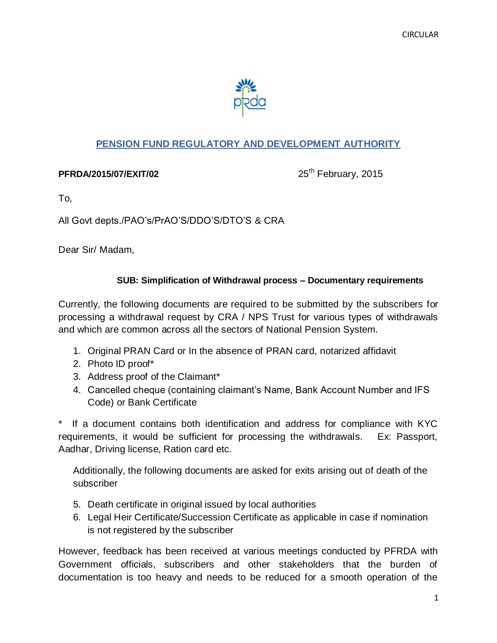

### **PENSION FUND REGULATORY AND DEVELOPMENT AUTHORITY**

#### **PFRDA/2015/07/EXIT/02**

25<sup>th</sup> February, 2015

To,

All Govt depts./PAO's/PrAO'S/DDO'S/DTO'S & CRA

Dear Sir/ Madam,

### **SUB: Simplification of Withdrawal process – Documentary requirements**

Currently, the following documents are required to be submitted by the subscribers for processing a withdrawal request by CRA / NPS Trust for various types of withdrawals and which are common across all the sectors of National Pension System.

- 1. Original PRAN Card or In the absence of PRAN card, notarized affidavit
- 2. Photo ID proof\*
- 3. Address proof of the Claimant\*
- 4. Cancelled cheque (containing claimant's Name, Bank Account Number and IFS Code) or Bank Certificate

If a document contains both identification and address for compliance with KYC requirements, it would be sufficient for processing the withdrawals. Ex: Passport, Aadhar, Driving license, Ration card etc.

Additionally, the following documents are asked for exits arising out of death of the subscriber

- 5. Death certificate in original issued by local authorities
- 6. Legal Heir Certificate/Succession Certificate as applicable in case if nomination is not registered by the subscriber

However, feedback has been received at various meetings conducted by PFRDA with Government officials, subscribers and other stakeholders that the burden of documentation is too heavy and needs to be reduced for a smooth operation of the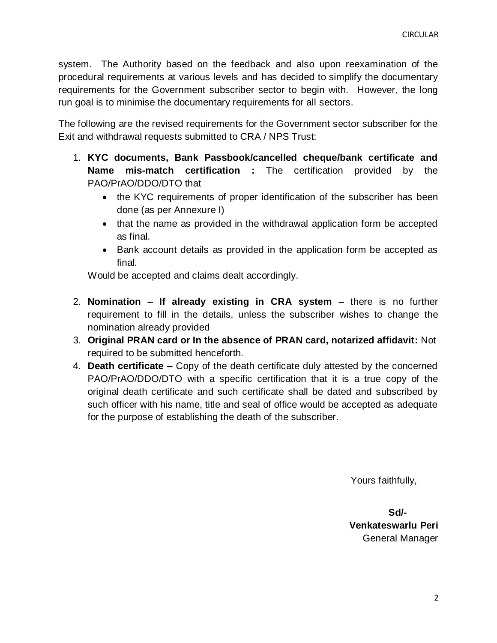system. The Authority based on the feedback and also upon reexamination of the procedural requirements at various levels and has decided to simplify the documentary requirements for the Government subscriber sector to begin with. However, the long run goal is to minimise the documentary requirements for all sectors.

The following are the revised requirements for the Government sector subscriber for the Exit and withdrawal requests submitted to CRA / NPS Trust:

- 1. **KYC documents, Bank Passbook/cancelled cheque/bank certificate and Name mis-match certification :** The certification provided by the PAO/PrAO/DDO/DTO that
	- the KYC requirements of proper identification of the subscriber has been done (as per Annexure I)
	- that the name as provided in the withdrawal application form be accepted as final.
	- Bank account details as provided in the application form be accepted as final.

Would be accepted and claims dealt accordingly.

- 2. **Nomination – If already existing in CRA system –** there is no further requirement to fill in the details, unless the subscriber wishes to change the nomination already provided
- 3. **Original PRAN card or In the absence of PRAN card, notarized affidavit:** Not required to be submitted henceforth.
- 4. **Death certificate –** Copy of the death certificate duly attested by the concerned PAO/PrAO/DDO/DTO with a specific certification that it is a true copy of the original death certificate and such certificate shall be dated and subscribed by such officer with his name, title and seal of office would be accepted as adequate for the purpose of establishing the death of the subscriber.

Yours faithfully,

**Sd/-** Samuel Contract of the State of the State of the State of the State of the State of the State of the State of the State of the State of the State of the State of the State of the State of the State of the State of t **Venkateswarlu Peri**  General Manager